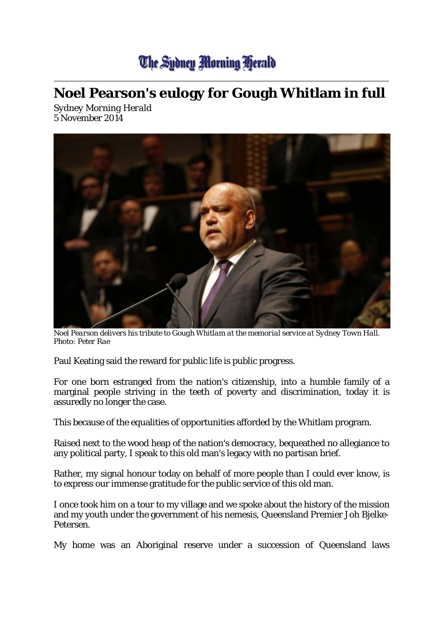## The Sydney Morning Herald

## **Noel Pearson's eulogy for Gough Whitlam in full**

*Sydney Morning Herald*  5 November 2014



*Noel Pearson delivers his tribute to Gough Whitlam at the memorial service at Sydney Town Hall. Photo: Peter Rae*

Paul Keating said the reward for public life is public progress.

For one born estranged from the nation's citizenship, into a humble family of a marginal people striving in the teeth of poverty and discrimination, today it is assuredly no longer the case.

This because of the equalities of opportunities afforded by the Whitlam program.

Raised next to the wood heap of the nation's democracy, bequeathed no allegiance to any political party, I speak to this old man's legacy with no partisan brief.

Rather, my signal honour today on behalf of more people than I could ever know, is to express our immense gratitude for the public service of this old man.

I once took him on a tour to my village and we spoke about the history of the mission and my youth under the government of his nemesis, Queensland Premier Joh Bjelke-Petersen.

My home was an Aboriginal reserve under a succession of Queensland laws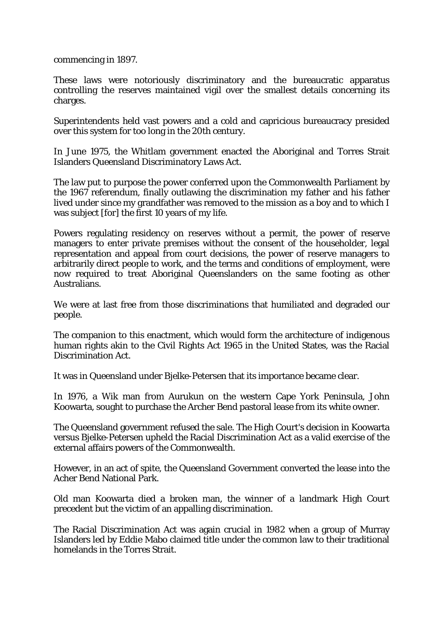commencing in 1897.

These laws were notoriously discriminatory and the bureaucratic apparatus controlling the reserves maintained vigil over the smallest details concerning its charges.

Superintendents held vast powers and a cold and capricious bureaucracy presided over this system for too long in the 20th century.

In June 1975, the Whitlam government enacted the Aboriginal and Torres Strait Islanders Queensland Discriminatory Laws Act.

The law put to purpose the power conferred upon the Commonwealth Parliament by the 1967 referendum, finally outlawing the discrimination my father and his father lived under since my grandfather was removed to the mission as a boy and to which I was subject [for] the first 10 years of my life.

Powers regulating residency on reserves without a permit, the power of reserve managers to enter private premises without the consent of the householder, legal representation and appeal from court decisions, the power of reserve managers to arbitrarily direct people to work, and the terms and conditions of employment, were now required to treat Aboriginal Queenslanders on the same footing as other Australians.

We were at last free from those discriminations that humiliated and degraded our people.

The companion to this enactment, which would form the architecture of indigenous human rights akin to the Civil Rights Act 1965 in the United States, was the Racial Discrimination Act.

It was in Queensland under Bjelke-Petersen that its importance became clear.

In 1976, a Wik man from Aurukun on the western Cape York Peninsula, John Koowarta, sought to purchase the Archer Bend pastoral lease from its white owner.

The Queensland government refused the sale. The High Court's decision in Koowarta versus Bjelke-Petersen upheld the Racial Discrimination Act as a valid exercise of the external affairs powers of the Commonwealth.

However, in an act of spite, the Queensland Government converted the lease into the Acher Bend National Park.

Old man Koowarta died a broken man, the winner of a landmark High Court precedent but the victim of an appalling discrimination.

The Racial Discrimination Act was again crucial in 1982 when a group of Murray Islanders led by Eddie Mabo claimed title under the common law to their traditional homelands in the Torres Strait.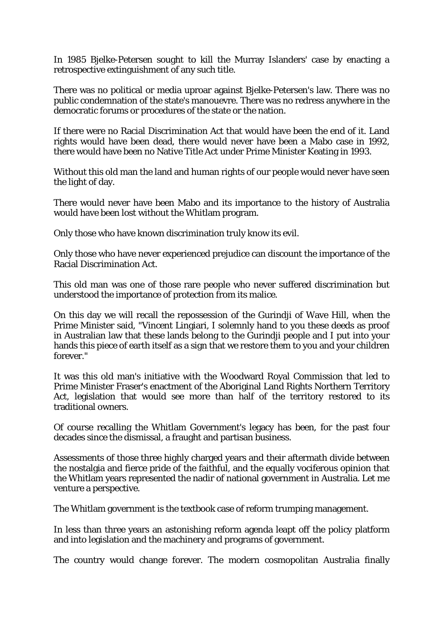In 1985 Bjelke-Petersen sought to kill the Murray Islanders' case by enacting a retrospective extinguishment of any such title.

There was no political or media uproar against Bjelke-Petersen's law. There was no public condemnation of the state's manouevre. There was no redress anywhere in the democratic forums or procedures of the state or the nation.

If there were no Racial Discrimination Act that would have been the end of it. Land rights would have been dead, there would never have been a Mabo case in 1992, there would have been no Native Title Act under Prime Minister Keating in 1993.

Without this old man the land and human rights of our people would never have seen the light of day.

There would never have been Mabo and its importance to the history of Australia would have been lost without the Whitlam program.

Only those who have known discrimination truly know its evil.

Only those who have never experienced prejudice can discount the importance of the Racial Discrimination Act.

This old man was one of those rare people who never suffered discrimination but understood the importance of protection from its malice.

On this day we will recall the repossession of the Gurindji of Wave Hill, when the Prime Minister said, "Vincent Lingiari, I solemnly hand to you these deeds as proof in Australian law that these lands belong to the Gurindji people and I put into your hands this piece of earth itself as a sign that we restore them to you and your children forever."

It was this old man's initiative with the Woodward Royal Commission that led to Prime Minister Fraser's enactment of the Aboriginal Land Rights Northern Territory Act, legislation that would see more than half of the territory restored to its traditional owners.

Of course recalling the Whitlam Government's legacy has been, for the past four decades since the dismissal, a fraught and partisan business.

Assessments of those three highly charged years and their aftermath divide between the nostalgia and fierce pride of the faithful, and the equally vociferous opinion that the Whitlam years represented the nadir of national government in Australia. Let me venture a perspective.

The Whitlam government is the textbook case of reform trumping management.

In less than three years an astonishing reform agenda leapt off the policy platform and into legislation and the machinery and programs of government.

The country would change forever. The modern cosmopolitan Australia finally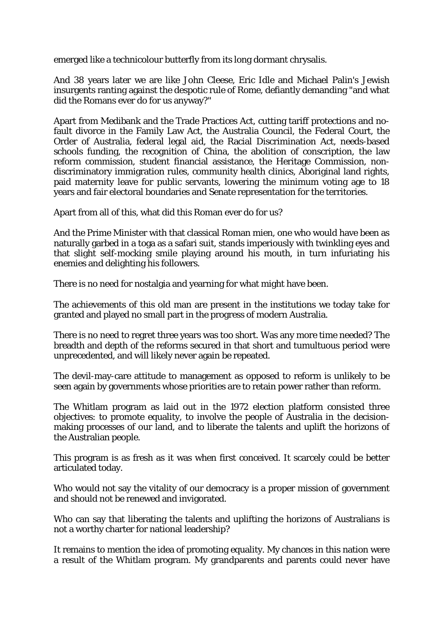emerged like a technicolour butterfly from its long dormant chrysalis.

And 38 years later we are like John Cleese, Eric Idle and Michael Palin's Jewish insurgents ranting against the despotic rule of Rome, defiantly demanding "and what did the Romans ever do for us anyway?"

Apart from Medibank and the Trade Practices Act, cutting tariff protections and nofault divorce in the Family Law Act, the Australia Council, the Federal Court, the Order of Australia, federal legal aid, the Racial Discrimination Act, needs-based schools funding, the recognition of China, the abolition of conscription, the law reform commission, student financial assistance, the Heritage Commission, nondiscriminatory immigration rules, community health clinics, Aboriginal land rights, paid maternity leave for public servants, lowering the minimum voting age to 18 years and fair electoral boundaries and Senate representation for the territories.

Apart from all of this, what did this Roman ever do for us?

And the Prime Minister with that classical Roman mien, one who would have been as naturally garbed in a toga as a safari suit, stands imperiously with twinkling eyes and that slight self-mocking smile playing around his mouth, in turn infuriating his enemies and delighting his followers.

There is no need for nostalgia and yearning for what might have been.

The achievements of this old man are present in the institutions we today take for granted and played no small part in the progress of modern Australia.

There is no need to regret three years was too short. Was any more time needed? The breadth and depth of the reforms secured in that short and tumultuous period were unprecedented, and will likely never again be repeated.

The devil-may-care attitude to management as opposed to reform is unlikely to be seen again by governments whose priorities are to retain power rather than reform.

The Whitlam program as laid out in the 1972 election platform consisted three objectives: to promote equality, to involve the people of Australia in the decisionmaking processes of our land, and to liberate the talents and uplift the horizons of the Australian people.

This program is as fresh as it was when first conceived. It scarcely could be better articulated today.

Who would not say the vitality of our democracy is a proper mission of government and should not be renewed and invigorated.

Who can say that liberating the talents and uplifting the horizons of Australians is not a worthy charter for national leadership?

It remains to mention the idea of promoting equality. My chances in this nation were a result of the Whitlam program. My grandparents and parents could never have